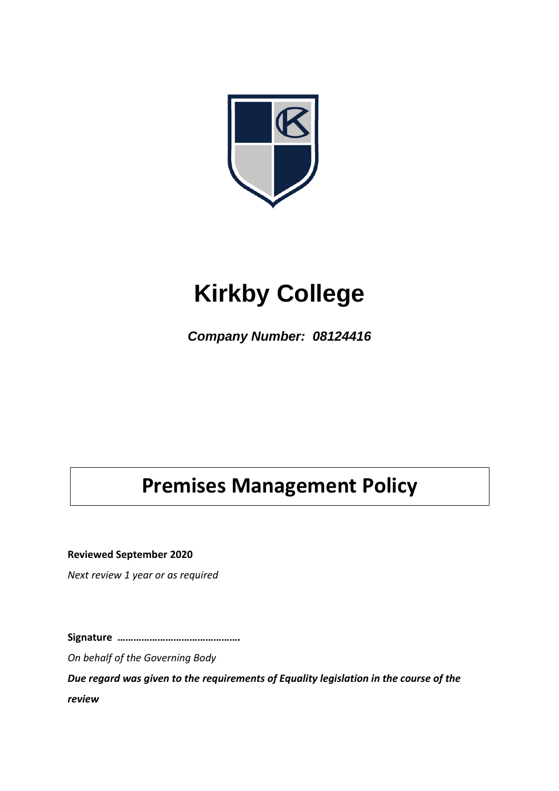

# **Kirkby College**

*Company Number: 08124416*

# **Premises Management Policy**

**Reviewed September 2020**

*Next review 1 year or as required*

**Signature ……………………………………….**

*On behalf of the Governing Body*

*Due regard was given to the requirements of Equality legislation in the course of the review*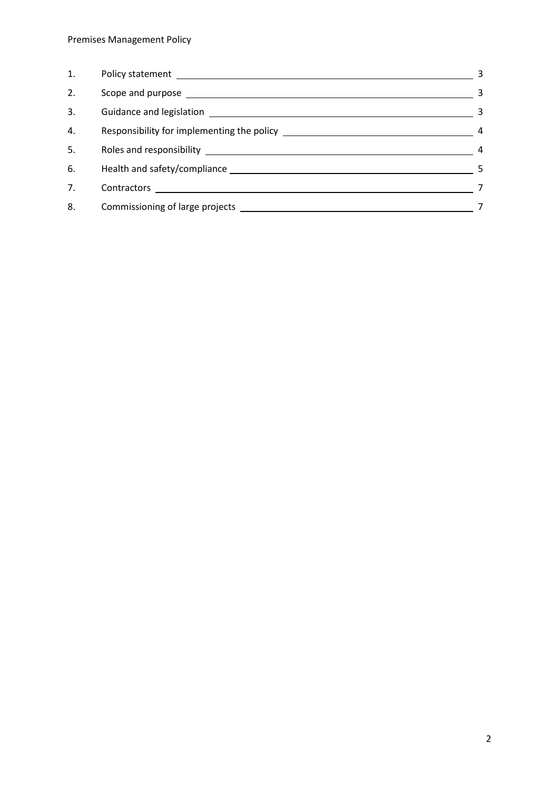| 1. |                                                                                                                                                                                                                               | 3              |
|----|-------------------------------------------------------------------------------------------------------------------------------------------------------------------------------------------------------------------------------|----------------|
| 2. | Scope and purpose entitled and purpose and purpose and purpose and all the set of the set of the set of the set of the set of the set of the set of the set of the set of the set of the set of the set of the set of the set | 3              |
| 3. |                                                                                                                                                                                                                               | -3             |
| 4. |                                                                                                                                                                                                                               | $\overline{4}$ |
| 5. |                                                                                                                                                                                                                               | $\overline{a}$ |
| 6. |                                                                                                                                                                                                                               | 5              |
| 7. | Contractors _______________________                                                                                                                                                                                           | 7              |
| 8. |                                                                                                                                                                                                                               |                |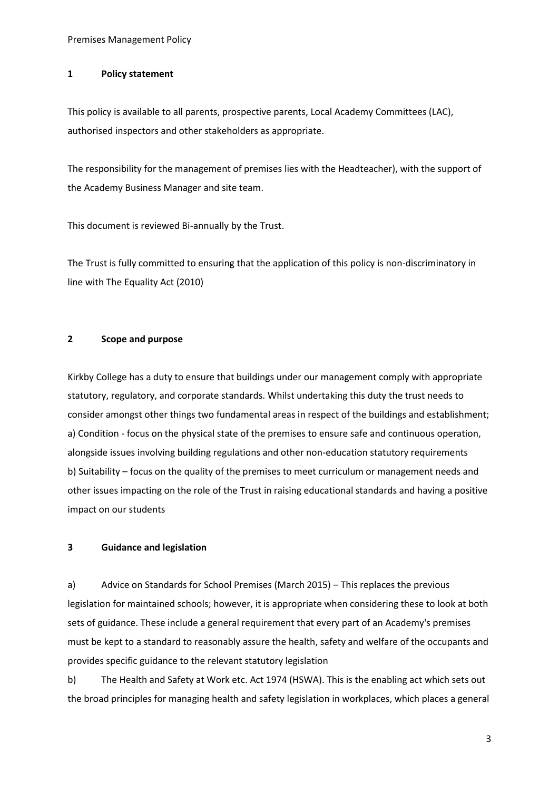#### **1 Policy statement**

This policy is available to all parents, prospective parents, Local Academy Committees (LAC), authorised inspectors and other stakeholders as appropriate.

The responsibility for the management of premises lies with the Headteacher), with the support of the Academy Business Manager and site team.

This document is reviewed Bi-annually by the Trust.

The Trust is fully committed to ensuring that the application of this policy is non-discriminatory in line with The Equality Act (2010)

#### **2 Scope and purpose**

Kirkby College has a duty to ensure that buildings under our management comply with appropriate statutory, regulatory, and corporate standards. Whilst undertaking this duty the trust needs to consider amongst other things two fundamental areas in respect of the buildings and establishment; a) Condition - focus on the physical state of the premises to ensure safe and continuous operation, alongside issues involving building regulations and other non-education statutory requirements b) Suitability – focus on the quality of the premises to meet curriculum or management needs and other issues impacting on the role of the Trust in raising educational standards and having a positive impact on our students

#### **3 Guidance and legislation**

a) Advice on Standards for School Premises (March 2015) – This replaces the previous legislation for maintained schools; however, it is appropriate when considering these to look at both sets of guidance. These include a general requirement that every part of an Academy's premises must be kept to a standard to reasonably assure the health, safety and welfare of the occupants and provides specific guidance to the relevant statutory legislation

b) The Health and Safety at Work etc. Act 1974 (HSWA). This is the enabling act which sets out the broad principles for managing health and safety legislation in workplaces, which places a general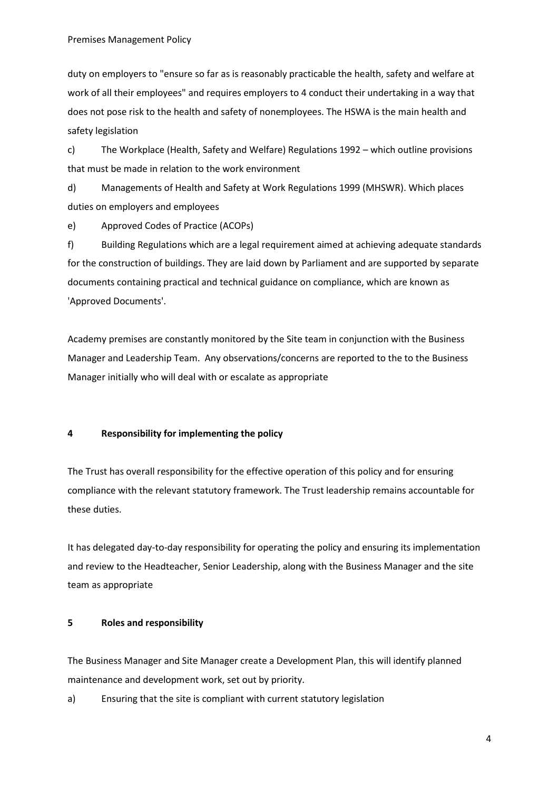duty on employers to "ensure so far as is reasonably practicable the health, safety and welfare at work of all their employees" and requires employers to 4 conduct their undertaking in a way that does not pose risk to the health and safety of nonemployees. The HSWA is the main health and safety legislation

c) The Workplace (Health, Safety and Welfare) Regulations 1992 – which outline provisions that must be made in relation to the work environment

d) Managements of Health and Safety at Work Regulations 1999 (MHSWR). Which places duties on employers and employees

e) Approved Codes of Practice (ACOPs)

f) Building Regulations which are a legal requirement aimed at achieving adequate standards for the construction of buildings. They are laid down by Parliament and are supported by separate documents containing practical and technical guidance on compliance, which are known as 'Approved Documents'.

Academy premises are constantly monitored by the Site team in conjunction with the Business Manager and Leadership Team. Any observations/concerns are reported to the to the Business Manager initially who will deal with or escalate as appropriate

# **4 Responsibility for implementing the policy**

The Trust has overall responsibility for the effective operation of this policy and for ensuring compliance with the relevant statutory framework. The Trust leadership remains accountable for these duties.

It has delegated day-to-day responsibility for operating the policy and ensuring its implementation and review to the Headteacher, Senior Leadership, along with the Business Manager and the site team as appropriate

# **5 Roles and responsibility**

The Business Manager and Site Manager create a Development Plan, this will identify planned maintenance and development work, set out by priority.

a) Ensuring that the site is compliant with current statutory legislation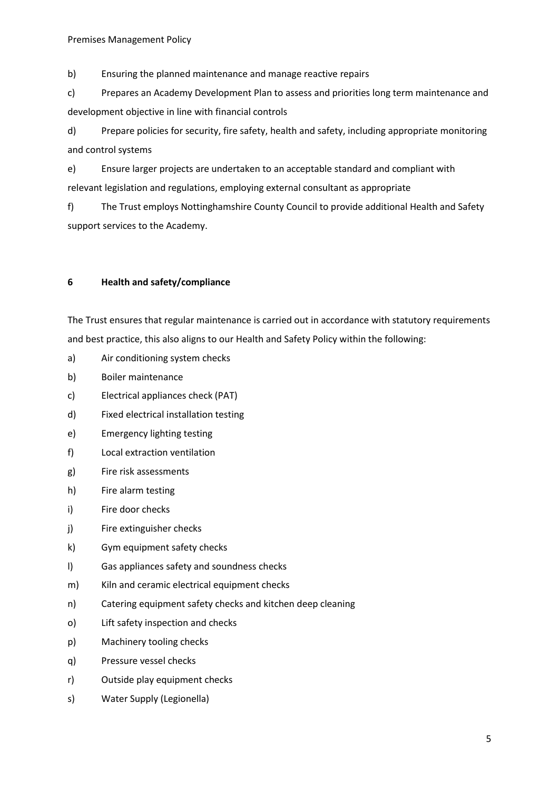b) Ensuring the planned maintenance and manage reactive repairs

c) Prepares an Academy Development Plan to assess and priorities long term maintenance and development objective in line with financial controls

d) Prepare policies for security, fire safety, health and safety, including appropriate monitoring and control systems

e) Ensure larger projects are undertaken to an acceptable standard and compliant with relevant legislation and regulations, employing external consultant as appropriate

f) The Trust employs Nottinghamshire County Council to provide additional Health and Safety support services to the Academy.

### **6 Health and safety/compliance**

The Trust ensures that regular maintenance is carried out in accordance with statutory requirements and best practice, this also aligns to our Health and Safety Policy within the following:

- a) Air conditioning system checks
- b) Boiler maintenance
- c) Electrical appliances check (PAT)
- d) Fixed electrical installation testing
- e) Emergency lighting testing
- f) Local extraction ventilation
- g) Fire risk assessments
- h) Fire alarm testing
- i) Fire door checks
- j) Fire extinguisher checks
- k) Gym equipment safety checks
- l) Gas appliances safety and soundness checks
- m) Kiln and ceramic electrical equipment checks
- n) Catering equipment safety checks and kitchen deep cleaning
- o) Lift safety inspection and checks
- p) Machinery tooling checks
- q) Pressure vessel checks
- r) Outside play equipment checks
- s) Water Supply (Legionella)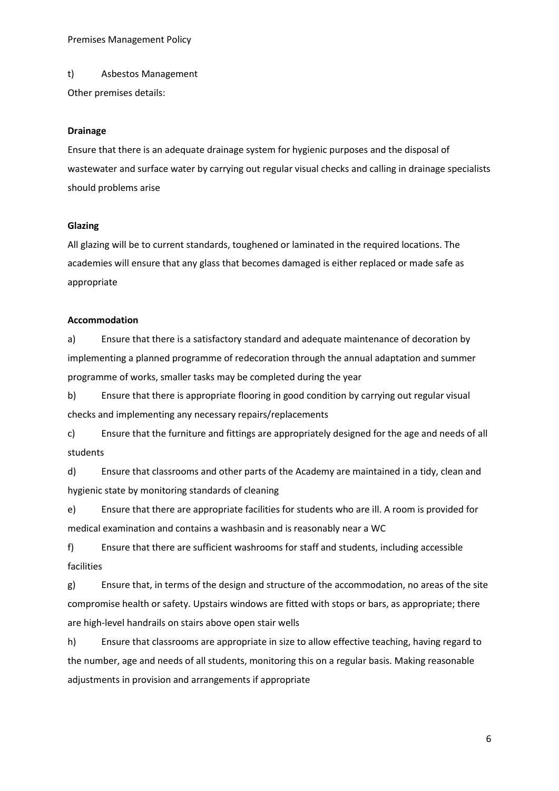Premises Management Policy

t) Asbestos Management

Other premises details:

#### **Drainage**

Ensure that there is an adequate drainage system for hygienic purposes and the disposal of wastewater and surface water by carrying out regular visual checks and calling in drainage specialists should problems arise

#### **Glazing**

All glazing will be to current standards, toughened or laminated in the required locations. The academies will ensure that any glass that becomes damaged is either replaced or made safe as appropriate

#### **Accommodation**

a) Ensure that there is a satisfactory standard and adequate maintenance of decoration by implementing a planned programme of redecoration through the annual adaptation and summer programme of works, smaller tasks may be completed during the year

b) Ensure that there is appropriate flooring in good condition by carrying out regular visual checks and implementing any necessary repairs/replacements

c) Ensure that the furniture and fittings are appropriately designed for the age and needs of all students

d) Ensure that classrooms and other parts of the Academy are maintained in a tidy, clean and hygienic state by monitoring standards of cleaning

e) Ensure that there are appropriate facilities for students who are ill. A room is provided for medical examination and contains a washbasin and is reasonably near a WC

f) Ensure that there are sufficient washrooms for staff and students, including accessible facilities

g) Ensure that, in terms of the design and structure of the accommodation, no areas of the site compromise health or safety. Upstairs windows are fitted with stops or bars, as appropriate; there are high-level handrails on stairs above open stair wells

h) Ensure that classrooms are appropriate in size to allow effective teaching, having regard to the number, age and needs of all students, monitoring this on a regular basis. Making reasonable adjustments in provision and arrangements if appropriate

6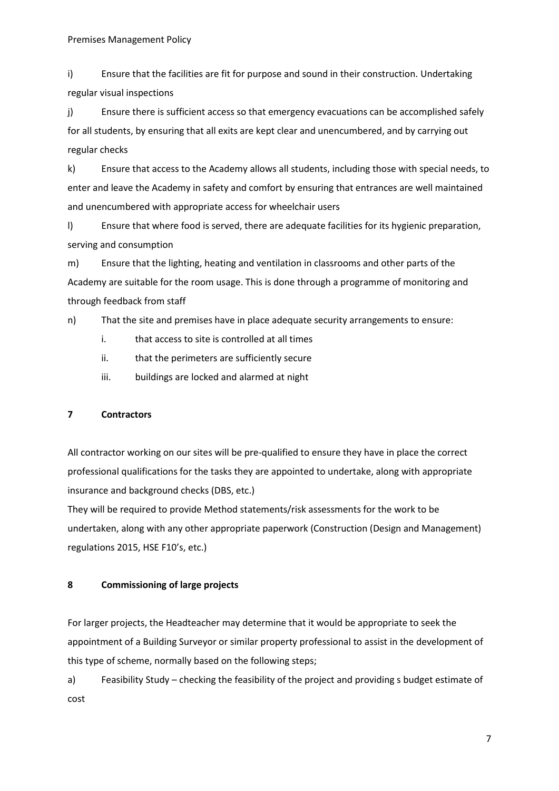i) Ensure that the facilities are fit for purpose and sound in their construction. Undertaking regular visual inspections

j) Ensure there is sufficient access so that emergency evacuations can be accomplished safely for all students, by ensuring that all exits are kept clear and unencumbered, and by carrying out regular checks

k) Ensure that access to the Academy allows all students, including those with special needs, to enter and leave the Academy in safety and comfort by ensuring that entrances are well maintained and unencumbered with appropriate access for wheelchair users

l) Ensure that where food is served, there are adequate facilities for its hygienic preparation, serving and consumption

m) Ensure that the lighting, heating and ventilation in classrooms and other parts of the Academy are suitable for the room usage. This is done through a programme of monitoring and through feedback from staff

n) That the site and premises have in place adequate security arrangements to ensure:

- i. that access to site is controlled at all times
- ii. that the perimeters are sufficiently secure
- iii. buildings are locked and alarmed at night

#### **7 Contractors**

All contractor working on our sites will be pre-qualified to ensure they have in place the correct professional qualifications for the tasks they are appointed to undertake, along with appropriate insurance and background checks (DBS, etc.)

They will be required to provide Method statements/risk assessments for the work to be undertaken, along with any other appropriate paperwork (Construction (Design and Management) regulations 2015, HSE F10's, etc.)

#### **8 Commissioning of large projects**

For larger projects, the Headteacher may determine that it would be appropriate to seek the appointment of a Building Surveyor or similar property professional to assist in the development of this type of scheme, normally based on the following steps;

a) Feasibility Study – checking the feasibility of the project and providing s budget estimate of cost